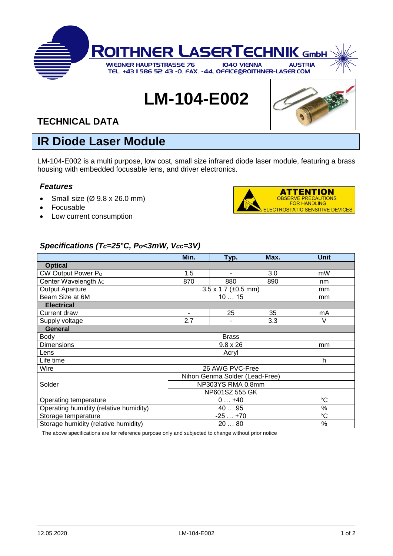

# **LM-104-E002**



### **TECHNICAL DATA**

## **IR Diode Laser Module**

LM-104-E002 is a multi purpose, low cost, small size infrared diode laser module, featuring a brass housing with embedded focusable lens, and driver electronics.

#### *Features*

- Small size  $(\emptyset$  9.8 x 26.0 mm)
- Focusable
- Low current consumption



#### *Specifications (Tc=25°C, Po<3mW, Vcc=3V)*

|                                        | Min.                                    | Typ.           | Max. | <b>Unit</b>     |
|----------------------------------------|-----------------------------------------|----------------|------|-----------------|
| <b>Optical</b>                         |                                         |                |      |                 |
| CW Output Power Po                     | 1.5                                     | $\blacksquare$ | 3.0  | mW              |
| Center Wavelength $\lambda_c$          | 870                                     | 880            | 890  | nm              |
| <b>Output Aparture</b>                 | $3.5 \times 1.7 \ (\pm 0.5 \text{ mm})$ |                |      | mm              |
| Beam Size at 6M                        | 1015                                    |                |      | mm              |
| <b>Electrical</b>                      |                                         |                |      |                 |
| Current draw                           |                                         | 25             | 35   | mA              |
| Supply voltage                         | 2.7                                     |                | 3.3  | V               |
| <b>General</b>                         |                                         |                |      |                 |
| Body                                   | <b>Brass</b>                            |                |      |                 |
| <b>Dimensions</b>                      | $9.8 \times 26$                         |                |      | mm              |
| Lens                                   | Acryl                                   |                |      |                 |
| Life time                              |                                         |                |      | h               |
| Wire                                   | 26 AWG PVC-Free                         |                |      |                 |
|                                        | Nihon Genma Solder (Lead-Free)          |                |      |                 |
| Solder                                 | NP303YS RMA 0.8mm                       |                |      |                 |
|                                        | NP601SZ 555 GK                          |                |      |                 |
| Operating temperature                  | $0+40$                                  |                |      | $\rm ^{\circ}C$ |
| Operating humidity (relative humidity) | 40  95                                  |                |      | %               |
| Storage temperature                    | $-25+70$                                |                |      | $\rm ^{\circ}C$ |
| Storage humidity (relative humidity)   | 2080                                    |                |      | %               |

The above specifications are for reference purpose only and subjected to change without prior notice